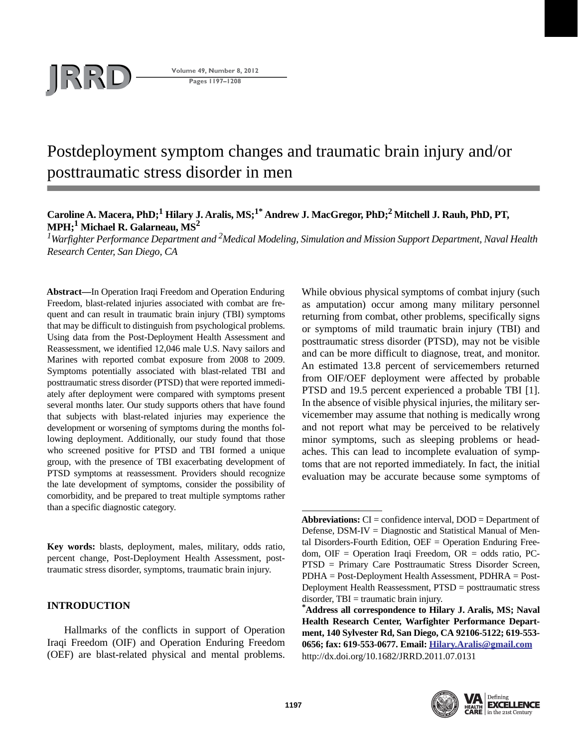# **JRRD Volume 49, Number 8, 2012**<br>**Pages 1197–1208**

**Pages 1197–1208**

# Postdeployment symptom changes and traumatic brain injury and/or posttraumatic stress disorder in men

# Caroline A. Macera, PhD;<sup>1</sup> Hilary J. Aralis, MS;<sup>1\*</sup> Andrew J. MacGregor, PhD;<sup>2</sup> Mitchell J. Rauh, PhD, PT, **MPH;1 Michael R. Galarneau, MS2**

<sup>1</sup> Warfighter Performance Department and <sup>2</sup> Medical Modeling, Simulation and Mission Support Department, Naval Health *Research Center, San Diego, CA*

**Abstract—**In Operation Iraqi Freedom and Operation Enduring Freedom, blast-related injuries associated with combat are frequent and can result in traumatic brain injury (TBI) symptoms that may be difficult to distinguish from psychological problems. Using data from the Post-Deployment Health Assessment and Reassessment, we identified 12,046 male U.S. Navy sailors and Marines with reported combat exposure from 2008 to 2009. Symptoms potentially associated with blast-related TBI and posttraumatic stress disorder (PTSD) that were reported immediately after deployment were compared with symptoms present several months later. Our study supports others that have found that subjects with blast-related injuries may experience the development or worsening of symptoms during the months following deployment. Additionally, our study found that those who screened positive for PTSD and TBI formed a unique group, with the presence of TBI exacerbating development of PTSD symptoms at reassessment. Providers should recognize the late development of symptoms, consider the possibility of comorbidity, and be prepared to treat multiple symptoms rather than a specific diagnostic category.

**Key words:** blasts, deployment, males, military, odds ratio, percent change, Post-Deployment Health Assessment, posttraumatic stress disorder, symptoms, traumatic brain injury.

# **INTRODUCTION**

Hallmarks of the conflicts in support of Operation Iraqi Freedom (OIF) and Operation Enduring Freedom (OEF) are blast-related physical and mental problems.

While obvious physical symptoms of combat injury (such as amputation) occur among many military personnel returning from combat, other problems, specifically signs or symptoms of mild traumatic brain injury (TBI) and posttraumatic stress disorder (PTSD), may not be visible and can be more difficult to diagnose, treat, and monitor. An estimated 13.8 percent of servicemembers returned from OIF/OEF deployment were affected by probable PTSD and 19.5 percent experienced a probable TBI [1]. In the absence of visible physical injuries, the military servicemember may assume that nothing is medically wrong and not report what may be perceived to be relatively minor symptoms, such as sleeping problems or headaches. This can lead to incomplete evaluation of symptoms that are not reported immediately. In fact, the initial evaluation may be accurate because some symptoms of

**<sup>\*</sup> Address all correspondence to Hilary J. Aralis, MS; Naval Health Research Center, Warfighter Performance Department, 140 Sylvester Rd, San Diego, CA 92106-5122; 619-553- 0656; fax: 619-553-0677. Email: [Hilary.Aralis@gmail.com](mailto:Hilary.Aralis@gmail.com)** http://dx.doi.org/10.1682/JRRD.2011.07.0131





**Abbreviations:** CI = confidence interval, DOD = Department of Defense, DSM-IV = Diagnostic and Statistical Manual of Mental Disorders-Fourth Edition, OEF = Operation Enduring Freedom, OIF = Operation Iraqi Freedom, OR = odds ratio, PC-PTSD = Primary Care Posttraumatic Stress Disorder Screen, PDHA = Post-Deployment Health Assessment, PDHRA = Post-Deployment Health Reassessment, PTSD = posttraumatic stress  $disorder, TBI = \text{traumatic brain injury.}$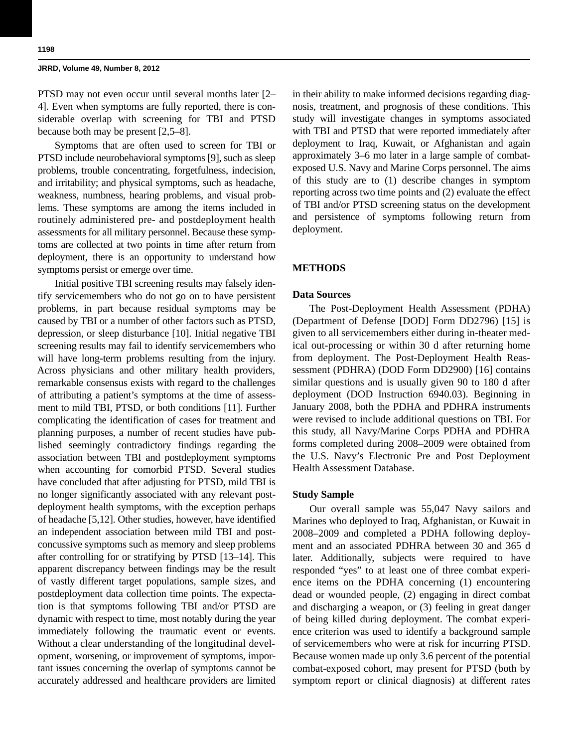PTSD may not even occur until several months later [2– 4]. Even when symptoms are fully reported, there is considerable overlap with screening for TBI and PTSD because both may be present [2,5–8].

Symptoms that are often used to screen for TBI or PTSD include neurobehavioral symptoms [9], such as sleep problems, trouble concentrating, forgetfulness, indecision, and irritability; and physical symptoms, such as headache, weakness, numbness, hearing problems, and visual problems. These symptoms are among the items included in routinely administered pre- and postdeployment health assessments for all military personnel. Because these symptoms are collected at two points in time after return from deployment, there is an opportunity to understand how symptoms persist or emerge over time.

Initial positive TBI screening results may falsely identify servicemembers who do not go on to have persistent problems, in part because residual symptoms may be caused by TBI or a number of other factors such as PTSD, depression, or sleep disturbance [10]. Initial negative TBI screening results may fail to identify servicemembers who will have long-term problems resulting from the injury. Across physicians and other military health providers, remarkable consensus exists with regard to the challenges of attributing a patient's symptoms at the time of assessment to mild TBI, PTSD, or both conditions [11]. Further complicating the identification of cases for treatment and planning purposes, a number of recent studies have published seemingly contradictory findings regarding the association between TBI and postdeployment symptoms when accounting for comorbid PTSD. Several studies have concluded that after adjusting for PTSD, mild TBI is no longer significantly associated with any relevant postdeployment health symptoms, with the exception perhaps of headache [5,12]. Other studies, however, have identified an independent association between mild TBI and postconcussive symptoms such as memory and sleep problems after controlling for or stratifying by PTSD [13–14]. This apparent discrepancy between findings may be the result of vastly different target populations, sample sizes, and postdeployment data collection time points. The expectation is that symptoms following TBI and/or PTSD are dynamic with respect to time, most notably during the year immediately following the traumatic event or events. Without a clear understanding of the longitudinal development, worsening, or improvement of symptoms, important issues concerning the overlap of symptoms cannot be accurately addressed and healthcare providers are limited in their ability to make informed decisions regarding diagnosis, treatment, and prognosis of these conditions. This study will investigate changes in symptoms associated with TBI and PTSD that were reported immediately after deployment to Iraq, Kuwait, or Afghanistan and again approximately 3–6 mo later in a large sample of combatexposed U.S. Navy and Marine Corps personnel. The aims of this study are to (1) describe changes in symptom reporting across two time points and (2) evaluate the effect of TBI and/or PTSD screening status on the development and persistence of symptoms following return from deployment.

#### **METHODS**

#### **Data Sources**

The Post-Deployment Health Assessment (PDHA) (Department of Defense [DOD] Form DD2796) [15] is given to all servicemembers either during in-theater medical out-processing or within 30 d after returning home from deployment. The Post-Deployment Health Reassessment (PDHRA) (DOD Form DD2900) [16] contains similar questions and is usually given 90 to 180 d after deployment (DOD Instruction 6940.03). Beginning in January 2008, both the PDHA and PDHRA instruments were revised to include additional questions on TBI. For this study, all Navy/Marine Corps PDHA and PDHRA forms completed during 2008–2009 were obtained from the U.S. Navy's Electronic Pre and Post Deployment Health Assessment Database.

#### **Study Sample**

Our overall sample was 55,047 Navy sailors and Marines who deployed to Iraq, Afghanistan, or Kuwait in 2008–2009 and completed a PDHA following deployment and an associated PDHRA between 30 and 365 d later. Additionally, subjects were required to have responded "yes" to at least one of three combat experience items on the PDHA concerning (1) encountering dead or wounded people, (2) engaging in direct combat and discharging a weapon, or (3) feeling in great danger of being killed during deployment. The combat experience criterion was used to identify a background sample of servicemembers who were at risk for incurring PTSD. Because women made up only 3.6 percent of the potential combat-exposed cohort, may present for PTSD (both by symptom report or clinical diagnosis) at different rates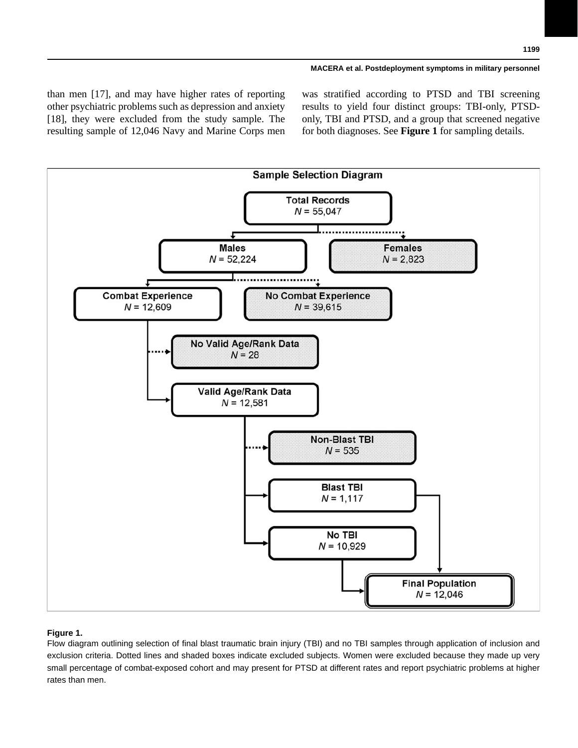than men [17], and may have higher rates of reporting other psychiatric problems such as depression and anxiety [18], they were excluded from the study sample. The resulting sample of 12,046 Navy and Marine Corps men was stratified according to PTSD and TBI screening results to yield four distinct groups: TBI-only, PTSDonly, TBI and PTSD, and a group that screened negative for both diagnoses. See **Figure 1** for sampling details.



#### **Figure 1.**

Flow diagram outlining selection of final blast traumatic brain injury (TBI) and no TBI samples through application of inclusion and exclusion criteria. Dotted lines and shaded boxes indicate excluded subjects. Women were excluded because they made up very small percentage of combat-exposed cohort and may present for PTSD at different rates and report psychiatric problems at higher rates than men.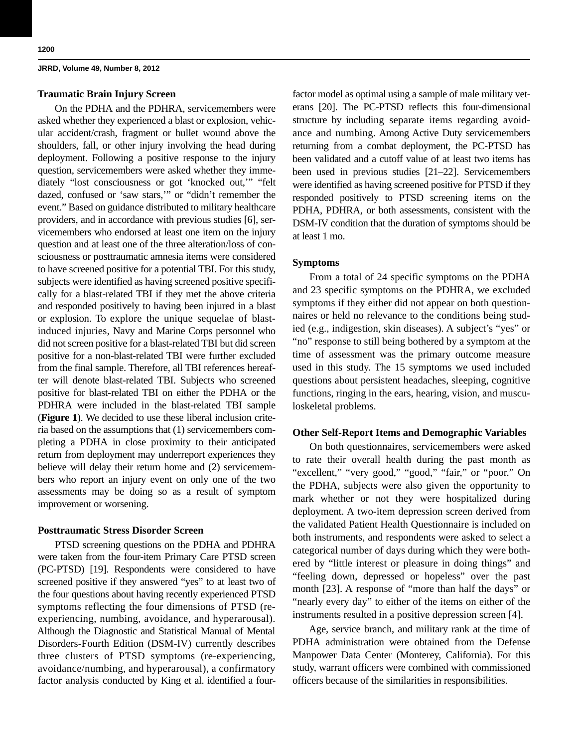#### **Traumatic Brain Injury Screen**

On the PDHA and the PDHRA, servicemembers were asked whether they experienced a blast or explosion, vehicular accident/crash, fragment or bullet wound above the shoulders, fall, or other injury involving the head during deployment. Following a positive response to the injury question, servicemembers were asked whether they immediately "lost consciousness or got 'knocked out,'" "felt dazed, confused or 'saw stars,'" or "didn't remember the event." Based on guidance distributed to military healthcare providers, and in accordance with previous studies [6], servicemembers who endorsed at least one item on the injury question and at least one of the three alteration/loss of consciousness or posttraumatic amnesia items were considered to have screened positive for a potential TBI. For this study, subjects were identified as having screened positive specifically for a blast-related TBI if they met the above criteria and responded positively to having been injured in a blast or explosion. To explore the unique sequelae of blastinduced injuries, Navy and Marine Corps personnel who did not screen positive for a blast-related TBI but did screen positive for a non-blast-related TBI were further excluded from the final sample. Therefore, all TBI references hereafter will denote blast-related TBI. Subjects who screened positive for blast-related TBI on either the PDHA or the PDHRA were included in the blast-related TBI sample (**Figure 1**). We decided to use these liberal inclusion criteria based on the assumptions that (1) servicemembers completing a PDHA in close proximity to their anticipated return from deployment may underreport experiences they believe will delay their return home and (2) servicemembers who report an injury event on only one of the two assessments may be doing so as a result of symptom improvement or worsening.

#### **Posttraumatic Stress Disorder Screen**

PTSD screening questions on the PDHA and PDHRA were taken from the four-item Primary Care PTSD screen (PC-PTSD) [19]. Respondents were considered to have screened positive if they answered "yes" to at least two of the four questions about having recently experienced PTSD symptoms reflecting the four dimensions of PTSD (reexperiencing, numbing, avoidance, and hyperarousal). Although the Diagnostic and Statistical Manual of Mental Disorders-Fourth Edition (DSM-IV) currently describes three clusters of PTSD symptoms (re-experiencing, avoidance/numbing, and hyperarousal), a confirmatory factor analysis conducted by King et al. identified a fourfactor model as optimal using a sample of male military veterans [20]. The PC-PTSD reflects this four-dimensional structure by including separate items regarding avoidance and numbing. Among Active Duty servicemembers returning from a combat deployment, the PC-PTSD has been validated and a cutoff value of at least two items has been used in previous studies [21–22]. Servicemembers were identified as having screened positive for PTSD if they responded positively to PTSD screening items on the PDHA, PDHRA, or both assessments, consistent with the DSM-IV condition that the duration of symptoms should be at least 1 mo.

# **Symptoms**

From a total of 24 specific symptoms on the PDHA and 23 specific symptoms on the PDHRA, we excluded symptoms if they either did not appear on both questionnaires or held no relevance to the conditions being studied (e.g., indigestion, skin diseases). A subject's "yes" or "no" response to still being bothered by a symptom at the time of assessment was the primary outcome measure used in this study. The 15 symptoms we used included questions about persistent headaches, sleeping, cognitive functions, ringing in the ears, hearing, vision, and musculoskeletal problems.

#### **Other Self-Report Items and Demographic Variables**

On both questionnaires, servicemembers were asked to rate their overall health during the past month as "excellent," "very good," "good," "fair," or "poor." On the PDHA, subjects were also given the opportunity to mark whether or not they were hospitalized during deployment. A two-item depression screen derived from the validated Patient Health Questionnaire is included on both instruments, and respondents were asked to select a categorical number of days during which they were bothered by "little interest or pleasure in doing things" and "feeling down, depressed or hopeless" over the past month [23]. A response of "more than half the days" or "nearly every day" to either of the items on either of the instruments resulted in a positive depression screen [4].

Age, service branch, and military rank at the time of PDHA administration were obtained from the Defense Manpower Data Center (Monterey, California). For this study, warrant officers were combined with commissioned officers because of the similarities in responsibilities.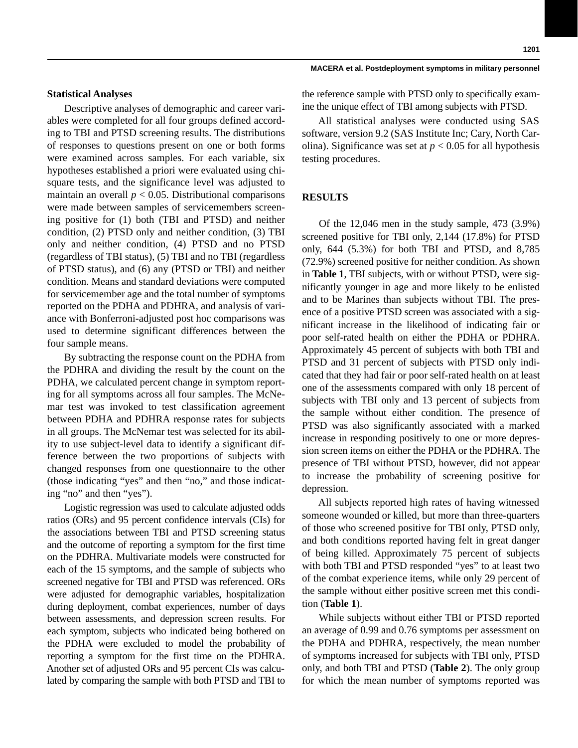#### **Statistical Analyses**

Descriptive analyses of demographic and career variables were completed for all four groups defined according to TBI and PTSD screening results. The distributions of responses to questions present on one or both forms were examined across samples. For each variable, six hypotheses established a priori were evaluated using chisquare tests, and the significance level was adjusted to maintain an overall  $p < 0.05$ . Distributional comparisons were made between samples of servicemembers screening positive for (1) both (TBI and PTSD) and neither condition, (2) PTSD only and neither condition, (3) TBI only and neither condition, (4) PTSD and no PTSD (regardless of TBI status), (5) TBI and no TBI (regardless of PTSD status), and (6) any (PTSD or TBI) and neither condition. Means and standard deviations were computed for servicemember age and the total number of symptoms reported on the PDHA and PDHRA, and analysis of variance with Bonferroni-adjusted post hoc comparisons was used to determine significant differences between the four sample means.

By subtracting the response count on the PDHA from the PDHRA and dividing the result by the count on the PDHA, we calculated percent change in symptom reporting for all symptoms across all four samples. The McNemar test was invoked to test classification agreement between PDHA and PDHRA response rates for subjects in all groups. The McNemar test was selected for its ability to use subject-level data to identify a significant difference between the two proportions of subjects with changed responses from one questionnaire to the other (those indicating "yes" and then "no," and those indicating "no" and then "yes").

Logistic regression was used to calculate adjusted odds ratios (ORs) and 95 percent confidence intervals (CIs) for the associations between TBI and PTSD screening status and the outcome of reporting a symptom for the first time on the PDHRA. Multivariate models were constructed for each of the 15 symptoms, and the sample of subjects who screened negative for TBI and PTSD was referenced. ORs were adjusted for demographic variables, hospitalization during deployment, combat experiences, number of days between assessments, and depression screen results. For each symptom, subjects who indicated being bothered on the PDHA were excluded to model the probability of reporting a symptom for the first time on the PDHRA. Another set of adjusted ORs and 95 percent CIs was calculated by comparing the sample with both PTSD and TBI to

the reference sample with PTSD only to specifically examine the unique effect of TBI among subjects with PTSD.

All statistical analyses were conducted using SAS software, version 9.2 (SAS Institute Inc; Cary, North Carolina). Significance was set at  $p < 0.05$  for all hypothesis testing procedures.

#### **RESULTS**

Of the 12,046 men in the study sample, 473 (3.9%) screened positive for TBI only, 2,144 (17.8%) for PTSD only, 644 (5.3%) for both TBI and PTSD, and 8,785 (72.9%) screened positive for neither condition. As shown in **Table 1**, TBI subjects, with or without PTSD, were significantly younger in age and more likely to be enlisted and to be Marines than subjects without TBI. The presence of a positive PTSD screen was associated with a significant increase in the likelihood of indicating fair or poor self-rated health on either the PDHA or PDHRA. Approximately 45 percent of subjects with both TBI and PTSD and 31 percent of subjects with PTSD only indicated that they had fair or poor self-rated health on at least one of the assessments compared with only 18 percent of subjects with TBI only and 13 percent of subjects from the sample without either condition. The presence of PTSD was also significantly associated with a marked increase in responding positively to one or more depression screen items on either the PDHA or the PDHRA. The presence of TBI without PTSD, however, did not appear to increase the probability of screening positive for depression.

All subjects reported high rates of having witnessed someone wounded or killed, but more than three-quarters of those who screened positive for TBI only, PTSD only, and both conditions reported having felt in great danger of being killed. Approximately 75 percent of subjects with both TBI and PTSD responded "yes" to at least two of the combat experience items, while only 29 percent of the sample without either positive screen met this condition (**Table 1**).

While subjects without either TBI or PTSD reported an average of 0.99 and 0.76 symptoms per assessment on the PDHA and PDHRA, respectively, the mean number of symptoms increased for subjects with TBI only, PTSD only, and both TBI and PTSD (**Table 2**). The only group for which the mean number of symptoms reported was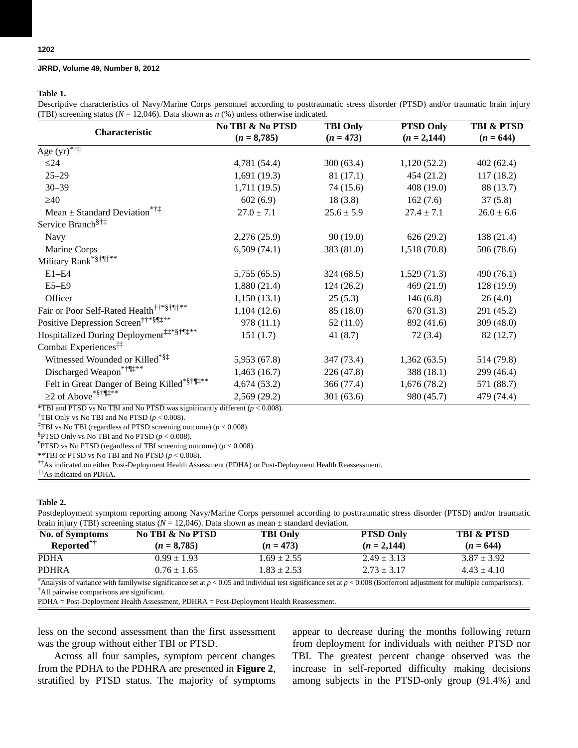#### **Table 1.**

Descriptive characteristics of Navy/Marine Corps personnel according to posttraumatic stress disorder (PTSD) and/or traumatic brain injury (TBI) screening status ( $N = 12,046$ ). Data shown as  $n$  (%) unless otherwise indicated.

|                                                      | No TBI & No PTSD | <b>TBI Only</b> | <b>PTSD Only</b> | <b>TBI &amp; PTSD</b> |
|------------------------------------------------------|------------------|-----------------|------------------|-----------------------|
| Characteristic                                       | $(n = 8, 785)$   | $(n = 473)$     | $(n = 2,144)$    | $(n = 644)$           |
| Age $(yr)$ <sup>*††</sup>                            |                  |                 |                  |                       |
| $\leq$ 24                                            | 4,781 (54.4)     | 300(63.4)       | 1,120(52.2)      | 402(62.4)             |
| $25 - 29$                                            | 1,691(19.3)      | 81(17.1)        | 454 (21.2)       | 117(18.2)             |
| $30 - 39$                                            | 1,711 (19.5)     | 74(15.6)        | 408 (19.0)       | 88 (13.7)             |
| $\geq 40$                                            | 602(6.9)         | 18(3.8)         | 162(7.6)         | 37(5.8)               |
| Mean $\pm$ Standard Deviation <sup>*†‡</sup>         | $27.0 \pm 7.1$   | $25.6 \pm 5.9$  | $27.4 \pm 7.1$   | $26.0 \pm 6.6$        |
| Service Branch <sup>§†‡</sup>                        |                  |                 |                  |                       |
| Navy                                                 | 2,276(25.9)      | 90(19.0)        | 626(29.2)        | 138 (21.4)            |
| Marine Corps                                         | 6,509(74.1)      | 383 (81.0)      | 1,518 (70.8)     | 506 (78.6)            |
| Military Rank * \\$ \* \* \*                         |                  |                 |                  |                       |
| $E1-E4$                                              | 5,755(65.5)      | 324(68.5)       | 1,529(71.3)      | 490 (76.1)            |
| $E5-E9$                                              | 1,880 (21.4)     | 124(26.2)       | 469 (21.9)       | 128 (19.9)            |
| Officer                                              | 1,150(13.1)      | 25(5.3)         | 146(6.8)         | 26(4.0)               |
| Fair or Poor Self-Rated Health <sup>††*§†</sup> ¶‡** | 1,104(12.6)      | 85 (18.0)       | 670 (31.3)       | 291 (45.2)            |
| Positive Depression Screen <sup>††*§¶</sup> #**      | 978 (11.1)       | 52(11.0)        | 892 (41.6)       | 309 (48.0)            |
| Hospitalized During Deployment##*\$#\#**             | 151(1.7)         | 41 (8.7)        | 72(3.4)          | 82 (12.7)             |
| Combat Experiences <sup>##</sup>                     |                  |                 |                  |                       |
| Witnessed Wounded or Killed <sup>*§‡</sup>           | 5,953 (67.8)     | 347 (73.4)      | 1,362(63.5)      | 514 (79.8)            |
| Discharged Weapon******                              | 1,463(16.7)      | 226 (47.8)      | 388 (18.1)       | 299 (46.4)            |
| Felt in Great Danger of Being Killed*§†¶‡**          | 4,674(53.2)      | 366 (77.4)      | 1,676(78.2)      | 571 (88.7)            |
| ≥2 of Above <sup>*§†¶‡**</sup>                       | 2,569 (29.2)     | 301(63.6)       | 980 (45.7)       | 479 (74.4)            |

\*TBI and PTSD vs No TBI and No PTSD was significantly different (*p* < 0.008).

<sup>†</sup>TBI Only vs No TBI and No PTSD ( $p < 0.008$ ).

<sup>‡</sup>TBI vs No TBI (regardless of PTSD screening outcome) ( $p < 0.008$ ).

 $\frac{\text{S}}{\text{PTSD}}$  Only vs No TBI and No PTSD ( $p < 0.008$ ).

**TPTSD** vs No PTSD (regardless of TBI screening outcome) ( $p < 0.008$ ).

\*\*TBI or PTSD vs No TBI and No PTSD (*p* < 0.008).

††As indicated on either Post-Deployment Health Assessment (PDHA) or Post-Deployment Health Reassessment.

‡‡As indicated on PDHA.

#### **Table 2.**

Postdeployment symptom reporting among Navy/Marine Corps personnel according to posttraumatic stress disorder (PTSD) and/or traumatic brain injury (TBI) screening status (*N* = 12,046). Data shown as mean ± standard deviation.

| No. of Symptoms                                                                                                                                                            | <b>No TBI &amp; No PTSD</b> | <b>TBI Only</b> | <b>PTSD Only</b> | <b>TBI &amp; PTSD</b> |  |  |  |
|----------------------------------------------------------------------------------------------------------------------------------------------------------------------------|-----------------------------|-----------------|------------------|-----------------------|--|--|--|
| Reported <sup>*†</sup>                                                                                                                                                     | $(n = 8.785)$               | $(n = 473)$     | $(n = 2,144)$    | $(n = 644)$           |  |  |  |
| <b>PDHA</b>                                                                                                                                                                | $0.99 \pm 1.93$             | $1.69 \pm 2.55$ | $2.49 + 3.13$    | $3.87 + 3.92$         |  |  |  |
| <b>PDHRA</b>                                                                                                                                                               | $0.76 \pm 1.65$             | $1.83 \pm 2.53$ | $2.73 \pm 3.17$  | $4.43 + 4.10$         |  |  |  |
| *Analysis of variance with familywise significance set at $p < 0.05$ and individual test significance set at $p < 0.008$ (Bonferroni adjustment for multiple comparisons). |                             |                 |                  |                       |  |  |  |

†All pairwise comparisons are significant.

PDHA = Post-Deployment Health Assessment, PDHRA = Post-Deployment Health Reassessment.

less on the second assessment than the first assessment was the group without either TBI or PTSD.

Across all four samples, symptom percent changes from the PDHA to the PDHRA are presented in **Figure 2**, stratified by PTSD status. The majority of symptoms appear to decrease during the months following return from deployment for individuals with neither PTSD nor TBI. The greatest percent change observed was the increase in self-reported difficulty making decisions among subjects in the PTSD-only group (91.4%) and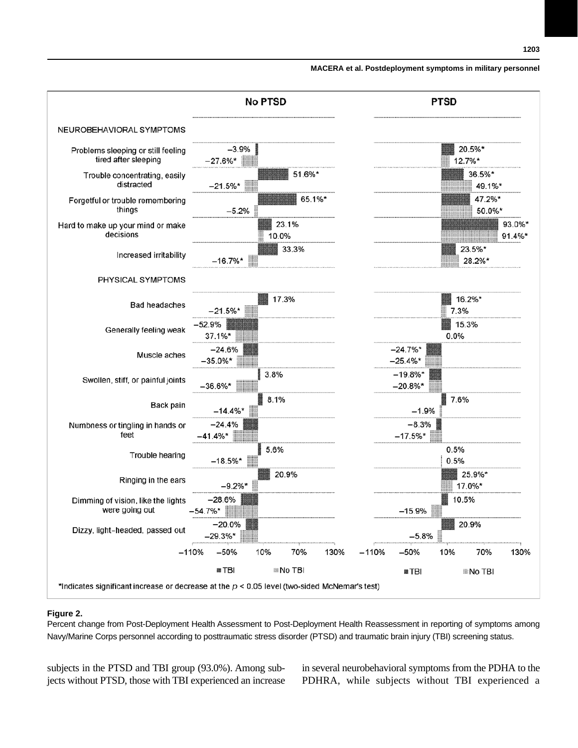

#### **Figure 2.**

Percent change from Post-Deployment Health Assessment to Post-Deployment Health Reassessment in reporting of symptoms among Navy/Marine Corps personnel according to posttraumatic stress disorder (PTSD) and traumatic brain injury (TBI) screening status.

subjects in the PTSD and TBI group (93.0%). Among subjects without PTSD, those with TBI experienced an increase in several neurobehavioral symptoms from the PDHA to the PDHRA, while subjects without TBI experienced a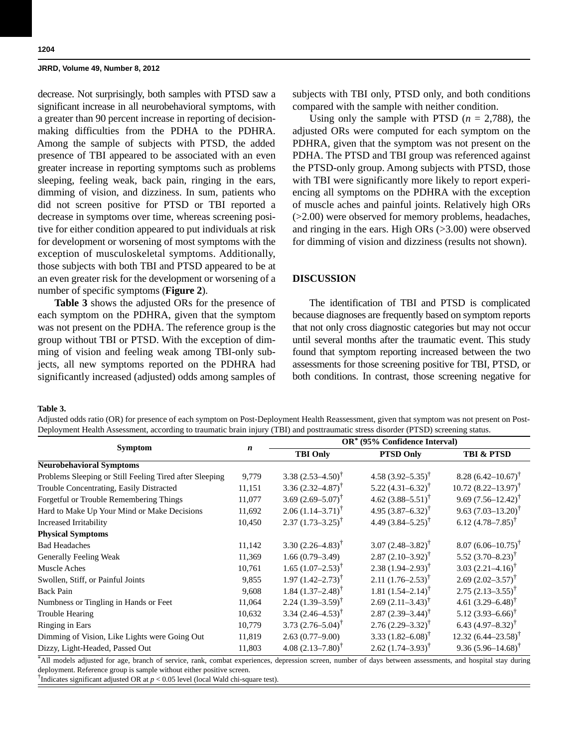decrease. Not surprisingly, both samples with PTSD saw a significant increase in all neurobehavioral symptoms, with a greater than 90 percent increase in reporting of decisionmaking difficulties from the PDHA to the PDHRA. Among the sample of subjects with PTSD, the added presence of TBI appeared to be associated with an even greater increase in reporting symptoms such as problems sleeping, feeling weak, back pain, ringing in the ears, dimming of vision, and dizziness. In sum, patients who did not screen positive for PTSD or TBI reported a decrease in symptoms over time, whereas screening positive for either condition appeared to put individuals at risk for development or worsening of most symptoms with the exception of musculoskeletal symptoms. Additionally, those subjects with both TBI and PTSD appeared to be at an even greater risk for the development or worsening of a number of specific symptoms (**Figure 2**).

**Table 3** shows the adjusted ORs for the presence of each symptom on the PDHRA, given that the symptom was not present on the PDHA. The reference group is the group without TBI or PTSD. With the exception of dimming of vision and feeling weak among TBI-only subjects, all new symptoms reported on the PDHRA had significantly increased (adjusted) odds among samples of subjects with TBI only, PTSD only, and both conditions compared with the sample with neither condition.

Using only the sample with PTSD  $(n = 2,788)$ , the adjusted ORs were computed for each symptom on the PDHRA, given that the symptom was not present on the PDHA. The PTSD and TBI group was referenced against the PTSD-only group. Among subjects with PTSD, those with TBI were significantly more likely to report experiencing all symptoms on the PDHRA with the exception of muscle aches and painful joints. Relatively high ORs (>2.00) were observed for memory problems, headaches, and ringing in the ears. High ORs (>3.00) were observed for dimming of vision and dizziness (results not shown).

#### **DISCUSSION**

The identification of TBI and PTSD is complicated because diagnoses are frequently based on symptom reports that not only cross diagnostic categories but may not occur until several months after the traumatic event. This study found that symptom reporting increased between the two assessments for those screening positive for TBI, PTSD, or both conditions. In contrast, those screening negative for

**Table 3.**

Adjusted odds ratio (OR) for presence of each symptom on Post-Deployment Health Reassessment, given that symptom was not present on Post-Deployment Health Assessment, according to traumatic brain injury (TBI) and posttraumatic stress disorder (PTSD) screening status.

|                                                         | $\boldsymbol{n}$ | OR <sup>*</sup> (95% Confidence Interval) |                                |                                    |
|---------------------------------------------------------|------------------|-------------------------------------------|--------------------------------|------------------------------------|
| <b>Symptom</b>                                          |                  | <b>TBI Only</b>                           | <b>PTSD Only</b>               | <b>TBI &amp; PTSD</b>              |
| <b>Neurobehavioral Symptoms</b>                         |                  |                                           |                                |                                    |
| Problems Sleeping or Still Feeling Tired after Sleeping | 9,779            | 3.38 $(2.53 - 4.50)^{\dagger}$            | 4.58 $(3.92 - 5.35)^{\dagger}$ | $8.28(6.42 - 10.67)^{\dagger}$     |
| Trouble Concentrating, Easily Distracted                | 11,151           | 3.36 $(2.32 - 4.87)^{\dagger}$            | 5.22 $(4.31 - 6.32)^{\dagger}$ | $10.72(8.22 - 13.97)^{\dagger}$    |
| Forgetful or Trouble Remembering Things                 | 11,077           | 3.69 $(2.69 - 5.07)^{\dagger}$            | 4.62 $(3.88 - 5.51)^{\dagger}$ | 9.69 $(7.56 - 12.42)^{\dagger}$    |
| Hard to Make Up Your Mind or Make Decisions             | 11,692           | $2.06(1.14-3.71)^{\dagger}$               | 4.95 $(3.87 - 6.32)^{\dagger}$ | 9.63 $(7.03 - 13.20)$ <sup>†</sup> |
| Increased Irritability                                  | 10,450           | $2.37(1.73-3.25)^{\dagger}$               | 4.49 $(3.84 - 5.25)^{\dagger}$ | $6.12(4.78 - 7.85)^{\dagger}$      |
| <b>Physical Symptoms</b>                                |                  |                                           |                                |                                    |
| <b>Bad Headaches</b>                                    | 11,142           | 3.30 $(2.26 - 4.83)^{\dagger}$            | 3.07 $(2.48 - 3.82)^{\dagger}$ | $8.07(6.06 - 10.75)^{\dagger}$     |
| Generally Feeling Weak                                  | 11,369           | $1.66(0.79-3.49)$                         | $2.87(2.10-3.92)^{\dagger}$    | 5.52 $(3.70 - 8.23)^{\dagger}$     |
| Muscle Aches                                            | 10,761           | 1.65 $(1.07-2.53)^{\dagger}$              | $2.38(1.94 - 2.93)^{\dagger}$  | 3.03 $(2.21 - 4.16)^{\dagger}$     |
| Swollen, Stiff, or Painful Joints                       | 9,855            | 1.97 $(1.42 - 2.73)^{\dagger}$            | 2.11 $(1.76 - 2.53)^{\dagger}$ | 2.69 $(2.02 - 3.57)^{\dagger}$     |
| Back Pain                                               | 9,608            | $1.84(1.37-2.48)$ <sup>T</sup>            | 1.81 $(1.54 - 2.14)^{\dagger}$ | $2.75(2.13 - 3.55)^{\dagger}$      |
| Numbness or Tingling in Hands or Feet                   | 11,064           | 2.24 $(1.39 - 3.59)^{\dagger}$            | $2.69(2.11-3.43)^{\dagger}$    | 4.61 $(3.29 - 6.48)$ <sup>†</sup>  |
| Trouble Hearing                                         | 10,632           | 3.34 $(2.46 - 4.53)^{\dagger}$            | $2.87(2.39 - 3.44)^{\dagger}$  | 5.12 $(3.93 - 6.66)$ <sup>†</sup>  |
| Ringing in Ears                                         | 10,779           | 3.73 $(2.76 - 5.04)^{\dagger}$            | $2.76(2.29 - 3.32)^{\dagger}$  | 6.43 $(4.97 - 8.32)^{\dagger}$     |
| Dimming of Vision, Like Lights were Going Out           | 11,819           | $2.63(0.77 - 9.00)$                       | 3.33 $(1.82 - 6.08)^T$         | 12.32 $(6.44 - 23.58)^{\dagger}$   |
| Dizzy, Light-Headed, Passed Out                         | 11,803           | $4.08(2.13 - 7.80)$ <sup>†</sup>          | $2.62(1.74 - 3.93)^{\dagger}$  | $9.36(5.96 - 14.68)$ <sup>†</sup>  |

\*All models adjusted for age, branch of service, rank, combat experiences, depression screen, number of days between assessments, and hospital stay during deployment. Reference group is sample without either positive screen.

<sup>†</sup>Indicates significant adjusted OR at  $p < 0.05$  level (local Wald chi-square test).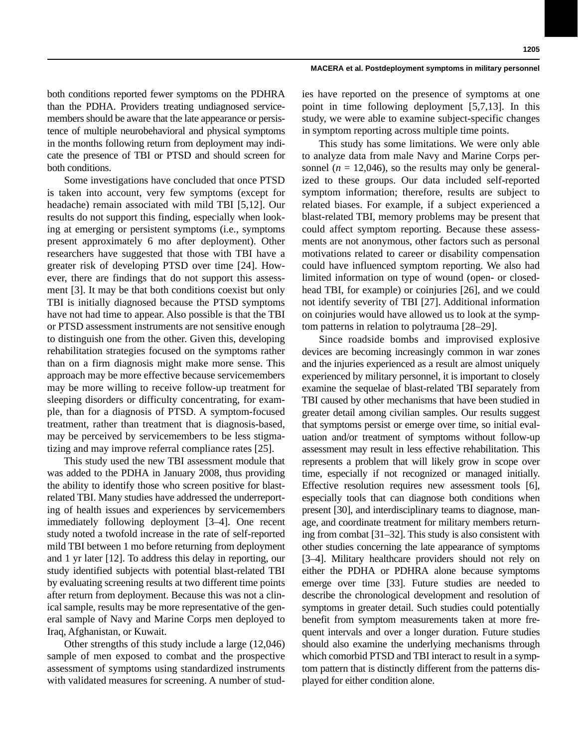both conditions reported fewer symptoms on the PDHRA than the PDHA. Providers treating undiagnosed servicemembers should be aware that the late appearance or persistence of multiple neurobehavioral and physical symptoms in the months following return from deployment may indicate the presence of TBI or PTSD and should screen for both conditions.

Some investigations have concluded that once PTSD is taken into account, very few symptoms (except for headache) remain associated with mild TBI [5,12]. Our results do not support this finding, especially when looking at emerging or persistent symptoms (i.e., symptoms present approximately 6 mo after deployment). Other researchers have suggested that those with TBI have a greater risk of developing PTSD over time [24]. However, there are findings that do not support this assessment [3]. It may be that both conditions coexist but only TBI is initially diagnosed because the PTSD symptoms have not had time to appear. Also possible is that the TBI or PTSD assessment instruments are not sensitive enough to distinguish one from the other. Given this, developing rehabilitation strategies focused on the symptoms rather than on a firm diagnosis might make more sense. This approach may be more effective because servicemembers may be more willing to receive follow-up treatment for sleeping disorders or difficulty concentrating, for example, than for a diagnosis of PTSD. A symptom-focused treatment, rather than treatment that is diagnosis-based, may be perceived by servicemembers to be less stigmatizing and may improve referral compliance rates [25].

This study used the new TBI assessment module that was added to the PDHA in January 2008, thus providing the ability to identify those who screen positive for blastrelated TBI. Many studies have addressed the underreporting of health issues and experiences by servicemembers immediately following deployment [3–4]. One recent study noted a twofold increase in the rate of self-reported mild TBI between 1 mo before returning from deployment and 1 yr later [12]. To address this delay in reporting, our study identified subjects with potential blast-related TBI by evaluating screening results at two different time points after return from deployment. Because this was not a clinical sample, results may be more representative of the general sample of Navy and Marine Corps men deployed to Iraq, Afghanistan, or Kuwait.

Other strengths of this study include a large (12,046) sample of men exposed to combat and the prospective assessment of symptoms using standardized instruments with validated measures for screening. A number of stud-

ies have reported on the presence of symptoms at one point in time following deployment [5,7,13]. In this study, we were able to examine subject-specific changes in symptom reporting across multiple time points.

This study has some limitations. We were only able to analyze data from male Navy and Marine Corps personnel ( $n = 12,046$ ), so the results may only be generalized to these groups. Our data included self-reported symptom information; therefore, results are subject to related biases. For example, if a subject experienced a blast-related TBI, memory problems may be present that could affect symptom reporting. Because these assessments are not anonymous, other factors such as personal motivations related to career or disability compensation could have influenced symptom reporting. We also had limited information on type of wound (open- or closedhead TBI, for example) or coinjuries [26], and we could not identify severity of TBI [27]. Additional information on coinjuries would have allowed us to look at the symptom patterns in relation to polytrauma [28–29].

Since roadside bombs and improvised explosive devices are becoming increasingly common in war zones and the injuries experienced as a result are almost uniquely experienced by military personnel, it is important to closely examine the sequelae of blast-related TBI separately from TBI caused by other mechanisms that have been studied in greater detail among civilian samples. Our results suggest that symptoms persist or emerge over time, so initial evaluation and/or treatment of symptoms without follow-up assessment may result in less effective rehabilitation. This represents a problem that will likely grow in scope over time, especially if not recognized or managed initially. Effective resolution requires new assessment tools [6], especially tools that can diagnose both conditions when present [30], and interdisciplinary teams to diagnose, manage, and coordinate treatment for military members returning from combat [31–32]. This study is also consistent with other studies concerning the late appearance of symptoms [3–4]. Military healthcare providers should not rely on either the PDHA or PDHRA alone because symptoms emerge over time [33]. Future studies are needed to describe the chronological development and resolution of symptoms in greater detail. Such studies could potentially benefit from symptom measurements taken at more frequent intervals and over a longer duration. Future studies should also examine the underlying mechanisms through which comorbid PTSD and TBI interact to result in a symptom pattern that is distinctly different from the patterns displayed for either condition alone.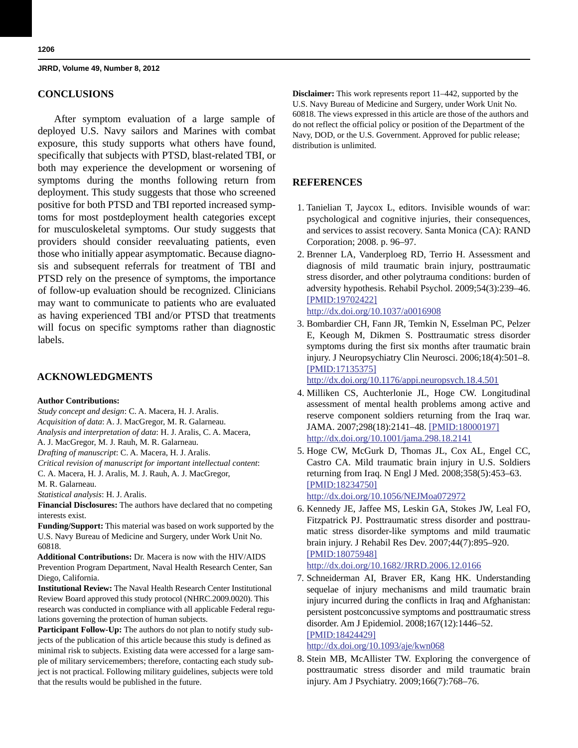## **CONCLUSIONS**

After symptom evaluation of a large sample of deployed U.S. Navy sailors and Marines with combat exposure, this study supports what others have found, specifically that subjects with PTSD, blast-related TBI, or both may experience the development or worsening of symptoms during the months following return from deployment. This study suggests that those who screened positive for both PTSD and TBI reported increased symptoms for most postdeployment health categories except for musculoskeletal symptoms. Our study suggests that providers should consider reevaluating patients, even those who initially appear asymptomatic. Because diagnosis and subsequent referrals for treatment of TBI and PTSD rely on the presence of symptoms, the importance of follow-up evaluation should be recognized. Clinicians may want to communicate to patients who are evaluated as having experienced TBI and/or PTSD that treatments will focus on specific symptoms rather than diagnostic labels.

#### **ACKNOWLEDGMENTS**

#### **Author Contributions:**

*Study concept and design*: C. A. Macera, H. J. Aralis. *Acquisition of data*: A. J. MacGregor, M. R. Galarneau. *Analysis and interpretation of data*: H. J. Aralis, C. A. Macera, A. J. MacGregor, M. J. Rauh, M. R. Galarneau. *Drafting of manuscript*: C. A. Macera, H. J. Aralis.

*Critical revision of manuscript for important intellectual content*:

C. A. Macera, H. J. Aralis, M. J. Rauh, A. J. MacGregor,

M. R. Galarneau.

*Statistical analysis*: H. J. Aralis.

**Financial Disclosures:** The authors have declared that no competing interests exist.

**Funding/Support:** This material was based on work supported by the U.S. Navy Bureau of Medicine and Surgery, under Work Unit No. 60818.

**Additional Contributions:** Dr. Macera is now with the HIV/AIDS Prevention Program Department, Naval Health Research Center, San Diego, California.

**Institutional Review:** The Naval Health Research Center Institutional Review Board approved this study protocol (NHRC.2009.0020). This research was conducted in compliance with all applicable Federal regulations governing the protection of human subjects.

**Participant Follow-Up:** The authors do not plan to notify study subjects of the publication of this article because this study is defined as minimal risk to subjects. Existing data were accessed for a large sample of military servicemembers; therefore, contacting each study subject is not practical. Following military guidelines, subjects were told that the results would be published in the future.

**Disclaimer:** This work represents report 11–442, supported by the U.S. Navy Bureau of Medicine and Surgery, under Work Unit No. 60818. The views expressed in this article are those of the authors and do not reflect the official policy or position of the Department of the Navy, DOD, or the U.S. Government. Approved for public release; distribution is unlimited.

## **REFERENCES**

- 1. Tanielian T, Jaycox L, editors. Invisible wounds of war: psychological and cognitive injuries, their consequences, and services to assist recovery. Santa Monica (CA): RAND Corporation; 2008. p. 96–97.
- 2. Brenner LA, Vanderploeg RD, Terrio H. Assessment and diagnosis of mild traumatic brain injury, posttraumatic stress disorder, and other polytrauma conditions: burden of adversity hypothesis. Rehabil Psychol. 2009;54(3):239–46. [\[PMID:19702422\]](http://www.ncbi.nlm.nih.gov/entrez/query.fcgi?cmd=Retrieve&db=PubMed&list_uids=19702422&dopt=Abstract)  <http://dx.doi.org/10.1037/a0016908>
- 3. Bombardier CH, Fann JR, Temkin N, Esselman PC, Pelzer E, Keough M, Dikmen S. Posttraumatic stress disorder symptoms during the first six months after traumatic brain injury. J Neuropsychiatry Clin Neurosci. 2006;18(4):501–8. [PMID:17135375]

<http://dx.doi.org/10.1176/appi.neuropsych.18.4.501>

- 4. Milliken CS, Auchterlonie JL, Hoge CW. Longitudinal assessment of mental health problems among active and reserve component soldiers returning from the Iraq war. JAMA. 2007;298(18):2141–48. [\[PMID:18000197\]](http://www.ncbi.nlm.nih.gov/entrez/query.fcgi?cmd=Retrieve&db=PubMed&list_uids=18000197&dopt=Abstract)  <http://dx.doi.org/10.1001/jama.298.18.2141>
- 5. Hoge CW, McGurk D, Thomas JL, Cox AL, Engel CC, Castro CA. Mild traumatic brain injury in U.S. Soldiers returning from Iraq. N Engl J Med. 2008;358(5):453–63. [PMID:18234750] <http://dx.doi.org/10.1056/NEJMoa072972>
- 6. Kennedy JE, Jaffee MS, Leskin GA, Stokes JW, Leal FO, Fitzpatrick PJ. Posttraumatic stress disorder and posttraumatic stress disorder-like symptoms and mild traumatic brain injury. J Rehabil Res Dev. 2007;44(7):895–920. [PMID:18075948]

<http://dx.doi.org/10.1682/JRRD.2006.12.0166>

 7. Schneiderman AI, Braver ER, Kang HK. Understanding sequelae of injury mechanisms and mild traumatic brain injury incurred during the conflicts in Iraq and Afghanistan: persistent postconcussive symptoms and posttraumatic stress disorder. Am J Epidemiol. 2008;167(12):1446–52. [PMID:18424429]

<http://dx.doi.org/10.1093/aje/kwn068>

 8. Stein MB, McAllister TW. Exploring the convergence of posttraumatic stress disorder and mild traumatic brain injury. Am J Psychiatry. 2009;166(7):768–76.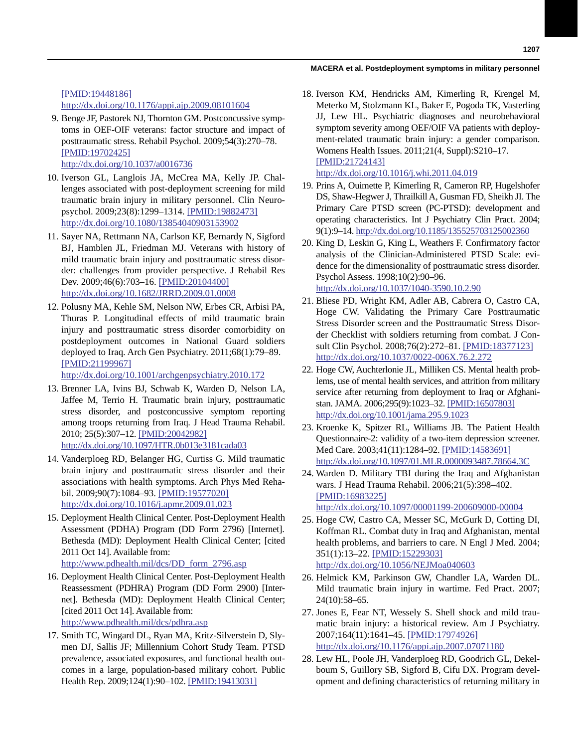## [PMID:19448186]

<http://dx.doi.org/10.1176/appi.ajp.2009.08101604>

- 9. Benge JF, Pastorek NJ, Thornton GM. Postconcussive symptoms in OEF-OIF veterans: factor structure and impact of posttraumatic stress. Rehabil Psychol. 2009;54(3):270–78. [\[PMID:19702425\]](http://www.ncbi.nlm.nih.gov/entrez/query.fcgi?cmd=Retrieve&db=PubMed&list_uids=19702425&dopt=Abstract)  <http://dx.doi.org/10.1037/a0016736>
- 10. Iverson GL, Langlois JA, McCrea MA, Kelly JP. Challenges associated with post-deployment screening for mild traumatic brain injury in military personnel. Clin Neuropsychol. 2009;23(8):1299–1314. [\[PMID:19882473\]](http://www.ncbi.nlm.nih.gov/entrez/query.fcgi?cmd=Retrieve&db=PubMed&list_uids=19882473&dopt=Abstract)  <http://dx.doi.org/10.1080/13854040903153902>
- 11. Sayer NA, Rettmann NA, Carlson KF, Bernardy N, Sigford BJ, Hamblen JL, Friedman MJ. Veterans with history of mild traumatic brain injury and posttraumatic stress disorder: challenges from provider perspective. J Rehabil Res Dev. 2009;46(6):703–16. [\[PMID:20104400\]](http://www.ncbi.nlm.nih.gov/entrez/query.fcgi?cmd=Retrieve&db=PubMed&list_uids=20104400&dopt=Abstract)  <http://dx.doi.org/10.1682/JRRD.2009.01.0008>
- 12. Polusny MA, Kehle SM, Nelson NW, Erbes CR, Arbisi PA, Thuras P. Longitudinal effects of mild traumatic brain injury and posttraumatic stress disorder comorbidity on postdeployment outcomes in National Guard soldiers deployed to Iraq. Arch Gen Psychiatry. 2011;68(1):79–89. [PMID:21199967]

<http://dx.doi.org/10.1001/archgenpsychiatry.2010.172>

- 13. Brenner LA, Ivins BJ, Schwab K, Warden D, Nelson LA, Jaffee M, Terrio H. Traumatic brain injury, posttraumatic stress disorder, and postconcussive symptom reporting among troops returning from Iraq. J Head Trauma Rehabil. 2010; 25(5):307–12. [\[PMID:20042982\]](http://www.ncbi.nlm.nih.gov/entrez/query.fcgi?cmd=Retrieve&db=PubMed&list_uids=20042982&dopt=Abstract)  <http://dx.doi.org/10.1097/HTR.0b013e3181cada03>
- 14. Vanderploeg RD, Belanger HG, Curtiss G. Mild traumatic brain injury and posttraumatic stress disorder and their associations with health symptoms. Arch Phys Med Rehabil. 2009;90(7):1084–93. [\[PMID:19577020\]](http://www.ncbi.nlm.nih.gov/entrez/query.fcgi?cmd=Retrieve&db=PubMed&list_uids=19577020&dopt=Abstract)  <http://dx.doi.org/10.1016/j.apmr.2009.01.023>
- 15. Deployment Health Clinical Center. Post-Deployment Health Assessment (PDHA) Program (DD Form 2796) [Internet]. Bethesda (MD): Deployment Health Clinical Center; [cited 2011 Oct 14]. Available from:
	- [http://www.pdhealth.mil/dcs/DD\\_form\\_2796.asp](http://www.pdhealth.mil/dcs/DD_form_2796.asp)
- 16. Deployment Health Clinical Center. Post-Deployment Health Reassessment (PDHRA) Program (DD Form 2900) [Internet]. Bethesda (MD): Deployment Health Clinical Center; [cited 2011 Oct 14]. Available from: <http://www.pdhealth.mil/dcs/pdhra.asp>
- 17. Smith TC, Wingard DL, Ryan MA, Kritz-Silverstein D, Slymen DJ, Sallis JF; Millennium Cohort Study Team. PTSD prevalence, associated exposures, and functional health outcomes in a large, population-based military cohort. Public Health Rep. 2009;124(1):90-102. [\[PMID:19413031\]](http://www.ncbi.nlm.nih.gov/entrez/query.fcgi?cmd=Retrieve&db=PubMed&list_uids=19413031&dopt=Abstract)

18. Iverson KM, Hendricks AM, Kimerling R, Krengel M, Meterko M, Stolzmann KL, Baker E, Pogoda TK, Vasterling JJ, Lew HL. Psychiatric diagnoses and neurobehavioral symptom severity among OEF/OIF VA patients with deployment-related traumatic brain injury: a gender comparison. Womens Health Issues. 2011;21(4, Suppl):S210–17. [\[PMID:21724143\]](http://www.ncbi.nlm.nih.gov/entrez/query.fcgi?cmd=Retrieve&db=PubMed&list_uids=21724143&dopt=Abstract) 

<http://dx.doi.org/10.1016/j.whi.2011.04.019>

- 19. Prins A, Ouimette P, Kimerling R, Cameron RP, Hugelshofer DS, Shaw-Hegwer J, Thrailkill A, Gusman FD, Sheikh JI. The Primary Care PTSD screen (PC-PTSD): development and operating characteristics. Int J Psychiatry Clin Pract. 2004; 9(1):9–14.<http://dx.doi.org/10.1185/135525703125002360>
- 20. King D, Leskin G, King L, Weathers F. Confirmatory factor analysis of the Clinician-Administered PTSD Scale: evidence for the dimensionality of posttraumatic stress disorder. Psychol Assess. 1998;10(2):90–96. <http://dx.doi.org/10.1037/1040-3590.10.2.90>
- 21. Bliese PD, Wright KM, Adler AB, Cabrera O, Castro CA, Hoge CW. Validating the Primary Care Posttraumatic Stress Disorder screen and the Posttraumatic Stress Disorder Checklist with soldiers returning from combat. J Consult Clin Psychol. 2008;76(2):272–81. [\[PMID:18377123\]](http://www.ncbi.nlm.nih.gov/entrez/query.fcgi?cmd=Retrieve&db=PubMed&list_uids=18377123&dopt=Abstract)  <http://dx.doi.org/10.1037/0022-006X.76.2.272>
- 22. Hoge CW, Auchterlonie JL, Milliken CS. Mental health problems, use of mental health services, and attrition from military service after returning from deployment to Iraq or Afghanistan. JAMA. 2006;295(9):1023–32. [\[PMID:16507803\]](http://www.ncbi.nlm.nih.gov/entrez/query.fcgi?cmd=Retrieve&db=PubMed&list_uids=16507803&dopt=Abstract)  <http://dx.doi.org/10.1001/jama.295.9.1023>
- 23. Kroenke K, Spitzer RL, Williams JB. The Patient Health Questionnaire-2: validity of a two-item depression screener. Med Care. 2003;41(11):1284–92. [\[PMID:14583691\]](http://www.ncbi.nlm.nih.gov/entrez/query.fcgi?cmd=Retrieve&db=PubMed&list_uids=14583691&dopt=Abstract)  <http://dx.doi.org/10.1097/01.MLR.0000093487.78664.3C>
- 24. Warden D. Military TBI during the Iraq and Afghanistan wars. J Head Trauma Rehabil. 2006;21(5):398–402. [\[PMID:16983225\]](http://www.ncbi.nlm.nih.gov/entrez/query.fcgi?cmd=Retrieve&db=PubMed&list_uids=16983225&dopt=Abstract)  <http://dx.doi.org/10.1097/00001199-200609000-00004>
- 25. Hoge CW, Castro CA, Messer SC, McGurk D, Cotting DI, Koffman RL. Combat duty in Iraq and Afghanistan, mental health problems, and barriers to care. N Engl J Med. 2004; 351(1):13–22. [\[PMID:15229303\]](http://www.ncbi.nlm.nih.gov/entrez/query.fcgi?cmd=Retrieve&db=PubMed&list_uids=15229303&dopt=Abstract)  <http://dx.doi.org/10.1056/NEJMoa040603>
- 26. Helmick KM, Parkinson GW, Chandler LA, Warden DL. Mild traumatic brain injury in wartime. Fed Pract. 2007; 24(10):58–65.
- 27. Jones E, Fear NT, Wessely S. Shell shock and mild traumatic brain injury: a historical review. Am J Psychiatry. 2007;164(11):1641–45. [\[PMID:17974926\]](http://www.ncbi.nlm.nih.gov/entrez/query.fcgi?cmd=Retrieve&db=PubMed&list_uids=17974926&dopt=Abstract)  <http://dx.doi.org/10.1176/appi.ajp.2007.07071180>
- 28. Lew HL, Poole JH, Vanderploeg RD, Goodrich GL, Dekelboum S, Guillory SB, Sigford B, Cifu DX. Program development and defining characteristics of returning military in